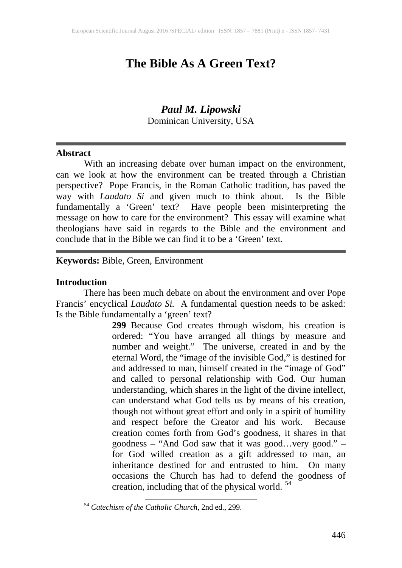# **The Bible As A Green Text?**

# *Paul M. Lipowski* Dominican University, USA

#### **Abstract**

With an increasing debate over human impact on the environment, can we look at how the environment can be treated through a Christian perspective? Pope Francis, in the Roman Catholic tradition, has paved the way with *Laudato Si* and given much to think about. Is the Bible fundamentally a 'Green' text? Have people been misinterpreting the message on how to care for the environment? This essay will examine what theologians have said in regards to the Bible and the environment and conclude that in the Bible we can find it to be a 'Green' text.

## **Keywords:** Bible, Green, Environment

#### **Introduction**

<span id="page-0-0"></span>There has been much debate on about the environment and over Pope Francis' encyclical *Laudato Si.* A fundamental question needs to be asked: Is the Bible fundamentally a 'green' text?

> **299** Because God creates through wisdom, his creation is ordered: "You have arranged all things by measure and number and weight." The universe, created in and by the eternal Word, the "image of the invisible God," is destined for and addressed to man, himself created in the "image of God" and called to personal relationship with God. Our human understanding, which shares in the light of the divine intellect, can understand what God tells us by means of his creation, though not without great effort and only in a spirit of humility and respect before the Creator and his work. Because creation comes forth from God's goodness, it shares in that goodness – "And God saw that it was good…very good." – for God willed creation as a gift addressed to man, an inheritance destined for and entrusted to him. On many occasions the Church has had to defend the goodness of creation, including that of the physical world. <sup>[54](#page--1-0)</sup>

<sup>54</sup> *Catechism of the Catholic Church*, 2nd ed., 299.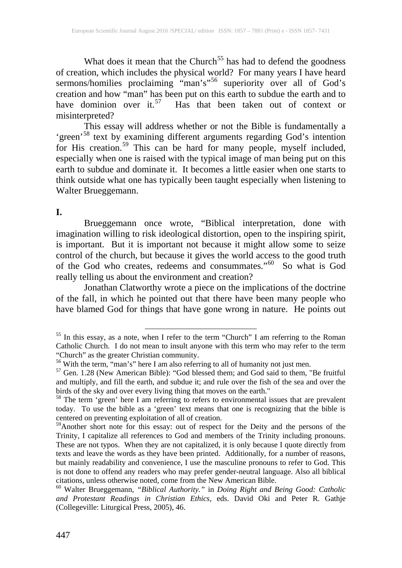What does it mean that the Church<sup>[55](#page-0-0)</sup> has had to defend the goodness of creation, which includes the physical world? For many years I have heard sermons/homilies proclaiming "man's"<sup>[56](#page-1-0)</sup> superiority over all of God's creation and how "man" has been put on this earth to subdue the earth and to have dominion over it.<sup>[57](#page-1-1)</sup> Has that been taken out of context or misinterpreted?

This essay will address whether or not the Bible is fundamentally a 'green'<sup>[58](#page-1-2)</sup> text by examining different arguments regarding God's intention for His creation.<sup>[59](#page-1-3)</sup> This can be hard for many people, myself included, especially when one is raised with the typical image of man being put on this earth to subdue and dominate it. It becomes a little easier when one starts to think outside what one has typically been taught especially when listening to Walter Brueggemann.

#### **I.**

Brueggemann once wrote, "Biblical interpretation, done with imagination willing to risk ideological distortion, open to the inspiring spirit, is important. But it is important not because it might allow some to seize control of the church, but because it gives the world access to the good truth of the God who creates, redeems and consummates."<sup>[60](#page-1-4)</sup> So what is God really telling us about the environment and creation?

Jonathan Clatworthy wrote a piece on the implications of the doctrine of the fall, in which he pointed out that there have been many people who have blamed God for things that have gone wrong in nature. He points out

<sup>&</sup>lt;sup>55</sup> In this essay, as a note, when I refer to the term "Church" I am referring to the Roman Catholic Church. I do not mean to insult anyone with this term who may refer to the term "Church" as the greater Christian community. <sup>56</sup> With the term, "man's" here I am also referring to all of humanity not just men. <sup>57</sup> Gen. 1.28 (New American Bible): "God blessed them; and God said to them, "Be fruitful

<span id="page-1-1"></span><span id="page-1-0"></span>and multiply, and fill the earth, and subdue it; and rule over the fish of the sea and over the birds of the sky and over every living thing that moves on the earth."<br><sup>58</sup> The term 'green' here I am referring to refers to environmental issues that are prevalent

<span id="page-1-5"></span><span id="page-1-2"></span>today. To use the bible as a 'green' text means that one is recognizing that the bible is

<span id="page-1-3"></span>centered on preventing exploitation of all of creation.<br><sup>59</sup>Another short note for this essay: out of respect for the Deity and the persons of the Trinity, I capitalize all references to God and members of the Trinity including pronouns. These are not typos. When they are not capitalized, it is only because I quote directly from texts and leave the words as they have been printed. Additionally, for a number of reasons, but mainly readability and convenience, I use the masculine pronouns to refer to God. This is not done to offend any readers who may prefer gender-neutral language. Also all biblical citations, unless otherwise noted, come from the New American Bible. <sup>60</sup> Walter Brueggemann, *"Biblical Authority."* in *Doing Right and Being Good: Catholic*

<span id="page-1-4"></span>*and Protestant Readings in Christian Ethics*, eds. David Oki and Peter R. Gathje (Collegeville: Liturgical Press, 2005), 46.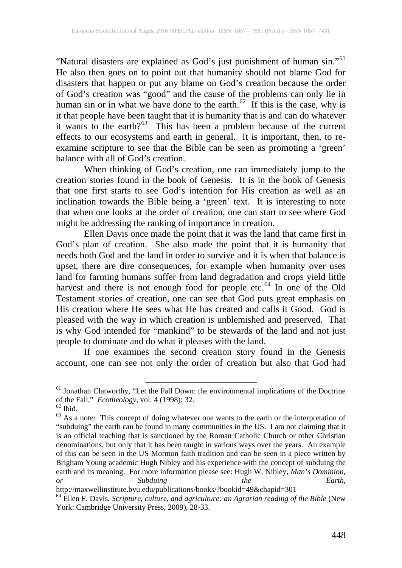"Natural disasters are explained as God's just punishment of human sin."[61](#page-1-5)  He also then goes on to point out that humanity should not blame God for disasters that happen or put any blame on God's creation because the order of God's creation was "good" and the cause of the problems can only lie in human sin or in what we have done to the earth.<sup>62</sup> If this is the case, why is it that people have been taught that it is humanity that is and can do whatever it wants to the earth? $63$  This has been a problem because of the current effects to our ecosystems and earth in general. It is important, then, to reexamine scripture to see that the Bible can be seen as promoting a 'green' balance with all of God's creation.

When thinking of God's creation, one can immediately jump to the creation stories found in the book of Genesis. It is in the book of Genesis that one first starts to see God's intention for His creation as well as an inclination towards the Bible being a 'green' text. It is interesting to note that when one looks at the order of creation, one can start to see where God might be addressing the ranking of importance in creation.

Ellen Davis once made the point that it was the land that came first in God's plan of creation. She also made the point that it is humanity that needs both God and the land in order to survive and it is when that balance is upset, there are dire consequences, for example when humanity over uses land for farming humans suffer from land degradation and crops yield little harvest and there is not enough food for people etc.<sup>[64](#page-2-2)</sup> In one of the Old Testament stories of creation, one can see that God puts great emphasis on His creation where He sees what He has created and calls it Good. God is pleased with the way in which creation is unblemished and preserved. That is why God intended for "mankind" to be stewards of the land and not just people to dominate and do what it pleases with the land.

If one examines the second creation story found in the Genesis account, one can see not only the order of creation but also that God had

<sup>&</sup>lt;sup>61</sup> Jonathan Clatworthy, "Let the Fall Down: the environmental implications of the Doctrine of the Fall," *Ecotheology*, vol. 4 (1998): 32.

<span id="page-2-1"></span><span id="page-2-0"></span> $\frac{62}{3}$  Ks a note: This concept of doing whatever one wants to the earth or the interpretation of "subduing" the earth can be found in many communities in the US. I am not claiming that it is an official teaching that is sanctioned by the Roman Catholic Church or other Christian denominations, but only that it has been taught in various ways over the years. An example of this can be seen in the US Mormon faith tradition and can be seen in a piece written by Brigham Young academic Hugh Nibley and his experience with the concept of subduing the earth and its meaning. For more information please see: Hugh W. Nibley, *Man's Dominion, or* Subduing the Earth,<br>http://maxwellinstitute.byu.edu/publications/books/?bookid=49&chapid=301

<span id="page-2-3"></span>

<span id="page-2-2"></span><sup>&</sup>lt;sup>64</sup> Ellen F. Davis, *Scripture, culture, and agriculture: an Agrarian reading of the Bible* (New York: Cambridge University Press, 2009), 28-33.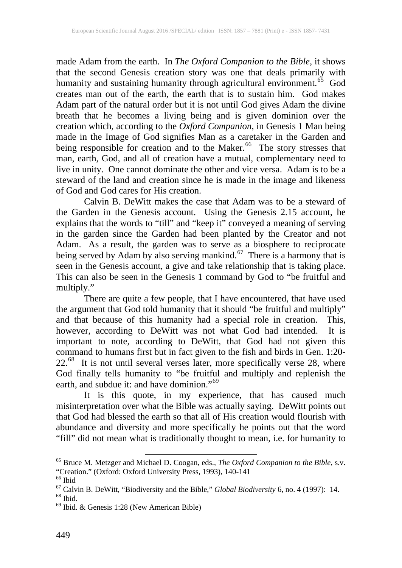made Adam from the earth. In *The Oxford Companion to the Bible*, it shows that the second Genesis creation story was one that deals primarily with humanity and sustaining humanity through agricultural environment.<sup>65</sup> God creates man out of the earth, the earth that is to sustain him. God makes Adam part of the natural order but it is not until God gives Adam the divine breath that he becomes a living being and is given dominion over the creation which, according to the *Oxford Companion*, in Genesis 1 Man being made in the Image of God signifies Man as a caretaker in the Garden and being responsible for creation and to the Maker.<sup>[66](#page-3-0)</sup> The story stresses that man, earth, God, and all of creation have a mutual, complementary need to live in unity. One cannot dominate the other and vice versa. Adam is to be a steward of the land and creation since he is made in the image and likeness of God and God cares for His creation.

Calvin B. DeWitt makes the case that Adam was to be a steward of the Garden in the Genesis account. Using the Genesis 2.15 account, he explains that the words to "till" and "keep it" conveyed a meaning of serving in the garden since the Garden had been planted by the Creator and not Adam. As a result, the garden was to serve as a biosphere to reciprocate being served by Adam by also serving mankind.<sup>67</sup> There is a harmony that is seen in the Genesis account, a give and take relationship that is taking place. This can also be seen in the Genesis 1 command by God to "be fruitful and multiply."

There are quite a few people, that I have encountered, that have used the argument that God told humanity that it should "be fruitful and multiply" and that because of this humanity had a special role in creation. This, however, according to DeWitt was not what God had intended. It is important to note, according to DeWitt, that God had not given this command to humans first but in fact given to the fish and birds in Gen. 1:20-  $22.^{68}$  It is not until several verses later, more specifically verse 28, where God finally tells humanity to "be fruitful and multiply and replenish the earth, and subdue it: and have dominion."<sup>[69](#page-3-3)</sup>

<span id="page-3-4"></span>It is this quote, in my experience, that has caused much misinterpretation over what the Bible was actually saying. DeWitt points out that God had blessed the earth so that all of His creation would flourish with abundance and diversity and more specifically he points out that the word "fill" did not mean what is traditionally thought to mean, i.e. for humanity to

<sup>65</sup> Bruce M. Metzger and Michael D. Coogan, eds., *The Oxford Companion to the Bible*, s.v.

<span id="page-3-1"></span><span id="page-3-0"></span><sup>&</sup>lt;sup>66</sup> Ibid<br><sup>67</sup> Calvin B. DeWitt, "Biodiversity and the Bible," *Global Biodiversity* 6, no. 4 (1997): 14.<br><sup>68</sup> Ibid. & Genesis 1:28 (New American Bible)

<span id="page-3-3"></span><span id="page-3-2"></span>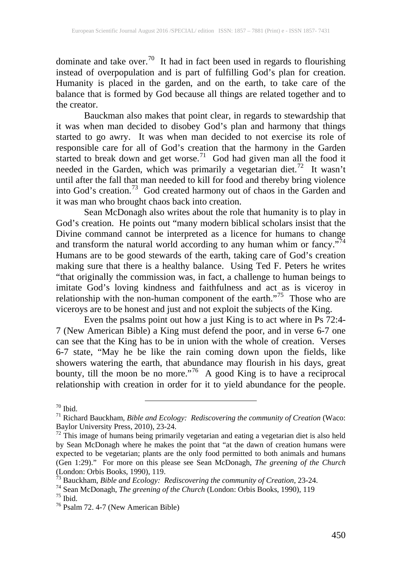dominate and take over.<sup>[70](#page-3-4)</sup> It had in fact been used in regards to flourishing instead of overpopulation and is part of fulfilling God's plan for creation. Humanity is placed in the garden, and on the earth, to take care of the balance that is formed by God because all things are related together and to the creator.

Bauckman also makes that point clear, in regards to stewardship that it was when man decided to disobey God's plan and harmony that things started to go awry. It was when man decided to not exercise its role of responsible care for all of God's creation that the harmony in the Garden started to break down and get worse.<sup>71</sup> God had given man all the food it needed in the Garden, which was primarily a vegetarian diet.<sup>72</sup> It wasn't until after the fall that man needed to kill for food and thereby bring violence into God's creation.<sup>[73](#page-4-2)</sup> God created harmony out of chaos in the Garden and it was man who brought chaos back into creation.

Sean McDonagh also writes about the role that humanity is to play in God's creation. He points out "many modern biblical scholars insist that the Divine command cannot be interpreted as a licence for humans to change and transform the natural world according to any human whim or fancy."<sup>[74](#page-4-3)</sup> Humans are to be good stewards of the earth, taking care of God's creation making sure that there is a healthy balance. Using Ted F. Peters he writes "that originally the commission was, in fact, a challenge to human beings to imitate God's loving kindness and faithfulness and act as is viceroy in relationship with the non-human component of the earth."<sup>[75](#page-4-4)</sup> Those who are viceroys are to be honest and just and not exploit the subjects of the King.

Even the psalms point out how a just King is to act where in Ps 72:4- 7 (New American Bible) a King must defend the poor, and in verse 6-7 one can see that the King has to be in union with the whole of creation. Verses 6-7 state, "May he be like the rain coming down upon the fields, like showers watering the earth, that abundance may flourish in his days, great bounty, till the moon be no more."<sup>76</sup> A good King is to have a reciprocal relationship with creation in order for it to yield abundance for the people.

<span id="page-4-0"></span><sup>70</sup> Ibid. <sup>71</sup> Richard Bauckham, *Bible and Ecology: Rediscovering the community of Creation* (Waco:

<span id="page-4-1"></span> $\frac{72}{2}$  This image of humans being primarily vegetarian and eating a vegetarian diet is also held by Sean McDonagh where he makes the point that "at the dawn of creation humans were expected to be vegetarian; plants are the only food permitted to both animals and humans (Gen 1:29)." For more on this please see Sean McDonagh, *The greening of the Church*

<span id="page-4-6"></span><span id="page-4-3"></span><span id="page-4-2"></span><sup>&</sup>lt;sup>73</sup> Bauckham, *Bible and Ecology: Rediscovering the community of Creation*, 23-24.<br><sup>74</sup> Sean McDonagh, *The greening of the Church* (London: Orbis Books, 1990), 119<br><sup>75</sup> Ibid.<br><sup>76</sup> Psalm 72. 4-7 (New American Bible)

<span id="page-4-4"></span>

<span id="page-4-5"></span>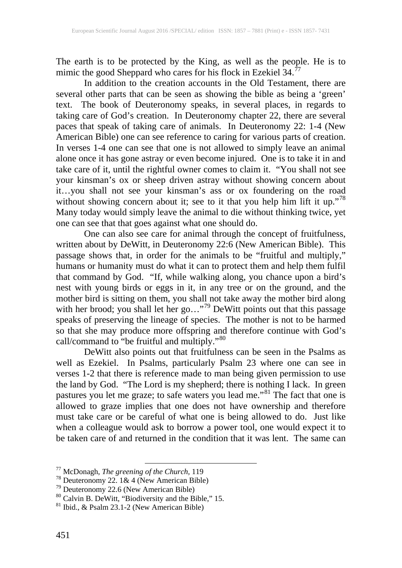The earth is to be protected by the King, as well as the people. He is to mimic the good Sheppard who cares for his flock in Ezekiel 34.<sup>[77](#page-4-6)</sup>

In addition to the creation accounts in the Old Testament, there are several other parts that can be seen as showing the bible as being a 'green' text. The book of Deuteronomy speaks, in several places, in regards to taking care of God's creation. In Deuteronomy chapter 22, there are several paces that speak of taking care of animals. In Deuteronomy 22: 1-4 (New American Bible) one can see reference to caring for various parts of creation. In verses 1-4 one can see that one is not allowed to simply leave an animal alone once it has gone astray or even become injured. One is to take it in and take care of it, until the rightful owner comes to claim it. "You shall not see your kinsman's ox or sheep driven astray without showing concern about it…you shall not see your kinsman's ass or ox foundering on the road without showing concern about it; see to it that you help him lift it up."<sup>78</sup> Many today would simply leave the animal to die without thinking twice, yet one can see that that goes against what one should do.

One can also see care for animal through the concept of fruitfulness, written about by DeWitt, in Deuteronomy 22:6 (New American Bible). This passage shows that, in order for the animals to be "fruitful and multiply," humans or humanity must do what it can to protect them and help them fulfil that command by God. "If, while walking along, you chance upon a bird's nest with young birds or eggs in it, in any tree or on the ground, and the mother bird is sitting on them, you shall not take away the mother bird along with her brood; you shall let her go..."<sup>[79](#page-5-1)</sup> DeWitt points out that this passage speaks of preserving the lineage of species. The mother is not to be harmed so that she may produce more offspring and therefore continue with God's call/command to "be fruitful and multiply."<sup>[80](#page-5-2)</sup>

DeWitt also points out that fruitfulness can be seen in the Psalms as well as Ezekiel. In Psalms, particularly Psalm 23 where one can see in verses 1-2 that there is reference made to man being given permission to use the land by God. "The Lord is my shepherd; there is nothing I lack. In green pastures you let me graze; to safe waters you lead me."<sup>[81](#page-5-3)</sup> The fact that one is allowed to graze implies that one does not have ownership and therefore must take care or be careful of what one is being allowed to do. Just like when a colleague would ask to borrow a power tool, one would expect it to be taken care of and returned in the condition that it was lent. The same can

<span id="page-5-0"></span>

<span id="page-5-2"></span><span id="page-5-1"></span>

<span id="page-5-4"></span><sup>&</sup>lt;sup>77</sup> McDonagh, *The greening of the Church*, 119<br><sup>78</sup> Deuteronomy 22. 1& 4 (New American Bible)<br><sup>79</sup> Deuteronomy 22.6 (New American Bible)<br><sup>80</sup> Calvin B. DeWitt, "Biodiversity and the Bible," 15.<br><sup>81</sup> Ibid.. & Psalm 23.1-

<span id="page-5-3"></span>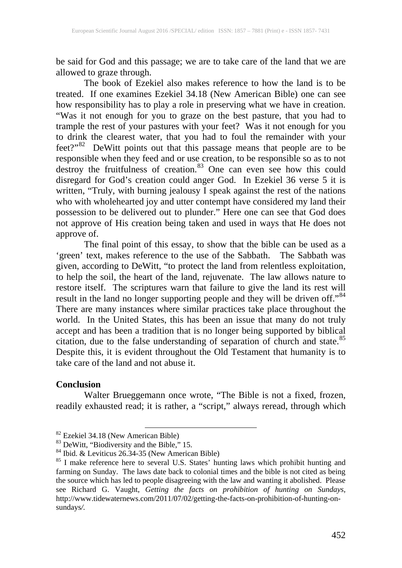be said for God and this passage; we are to take care of the land that we are allowed to graze through.

The book of Ezekiel also makes reference to how the land is to be treated. If one examines Ezekiel 34.18 (New American Bible) one can see how responsibility has to play a role in preserving what we have in creation. "Was it not enough for you to graze on the best pasture, that you had to trample the rest of your pastures with your feet? Was it not enough for you to drink the clearest water, that you had to foul the remainder with your feet?" $82$  DeWitt points out that this passage means that people are to be responsible when they feed and or use creation, to be responsible so as to not destroy the fruitfulness of creation.<sup>[83](#page-6-0)</sup> One can even see how this could disregard for God's creation could anger God. In Ezekiel 36 verse 5 it is written, "Truly, with burning jealousy I speak against the rest of the nations who with wholehearted joy and utter contempt have considered my land their possession to be delivered out to plunder." Here one can see that God does not approve of His creation being taken and used in ways that He does not approve of.

The final point of this essay, to show that the bible can be used as a 'green' text, makes reference to the use of the Sabbath. The Sabbath was given, according to DeWitt, "to protect the land from relentless exploitation, to help the soil, the heart of the land, rejuvenate. The law allows nature to restore itself. The scriptures warn that failure to give the land its rest will result in the land no longer supporting people and they will be driven off."<sup>84</sup> There are many instances where similar practices take place throughout the world. In the United States, this has been an issue that many do not truly accept and has been a tradition that is no longer being supported by biblical citation, due to the false understanding of separation of church and state. [85](#page-6-2) Despite this, it is evident throughout the Old Testament that humanity is to take care of the land and not abuse it.

## **Conclusion**

Walter Brueggemann once wrote, "The Bible is not a fixed, frozen, readily exhausted read; it is rather, a "script," always reread, through which

<span id="page-6-0"></span>

<span id="page-6-2"></span><span id="page-6-1"></span>

<span id="page-6-3"></span><sup>&</sup>lt;sup>82</sup> Ezekiel 34.18 (New American Bible)<br><sup>83</sup> DeWitt, "Biodiversity and the Bible," 15.<br><sup>84</sup> Ibid. & Leviticus 26.34-35 (New American Bible) <sup>85</sup> I make reference here to several U.S. States' hunting laws which prohibit hu farming on Sunday. The laws date back to colonial times and the bible is not cited as being the source which has led to people disagreeing with the law and wanting it abolished. Please see Richard G. Vaught, *Getting the facts on prohibition of hunting on Sundays,* http://www.tidewaternews.com/2011/07/02/getting-the-facts-on-prohibition-of-hunting-onsundays*/.*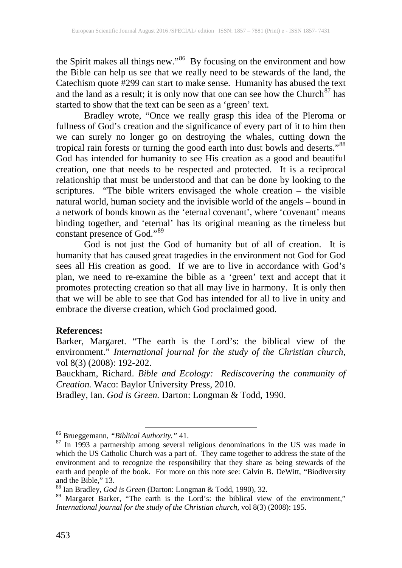the Spirit makes all things new."<sup>[86](#page-6-3)</sup> By focusing on the environment and how the Bible can help us see that we really need to be stewards of the land, the Catechism quote #299 can start to make sense. Humanity has abused the text and the land as a result; it is only now that one can see how the Church<sup>[87](#page-7-0)</sup> has started to show that the text can be seen as a 'green' text.

Bradley wrote, "Once we really grasp this idea of the Pleroma or fullness of God's creation and the significance of every part of it to him then we can surely no longer go on destroying the whales, cutting down the tropical rain forests or turning the good earth into dust bowls and deserts."<sup>88</sup> God has intended for humanity to see His creation as a good and beautiful creation, one that needs to be respected and protected. It is a reciprocal relationship that must be understood and that can be done by looking to the scriptures. "The bible writers envisaged the whole creation – the visible natural world, human society and the invisible world of the angels – bound in a network of bonds known as the 'eternal covenant', where 'covenant' means binding together, and 'eternal' has its original meaning as the timeless but constant presence of God."[89](#page-7-2)

God is not just the God of humanity but of all of creation. It is humanity that has caused great tragedies in the environment not God for God sees all His creation as good. If we are to live in accordance with God's plan, we need to re-examine the bible as a 'green' text and accept that it promotes protecting creation so that all may live in harmony. It is only then that we will be able to see that God has intended for all to live in unity and embrace the diverse creation, which God proclaimed good.

## **References:**

Barker, Margaret. "The earth is the Lord's: the biblical view of the environment." *International journal for the study of the Christian church*, vol 8(3) (2008): 192-202.

Bauckham, Richard. *Bible and Ecology: Rediscovering the community of Creation.* Waco: Baylor University Press, 2010.

Bradley, Ian. *God is Green.* Darton: Longman & Todd, 1990.

<span id="page-7-0"></span><sup>&</sup>lt;sup>86</sup> Brueggemann, *"Biblical Authority."* 41.<br><sup>87</sup> In 1993 a partnership among several religious denominations in the US was made in which the US Catholic Church was a part of. They came together to address the state of the environment and to recognize the responsibility that they share as being stewards of the earth and people of the book. For more on this note see: Calvin B. DeWitt, "Biodiversity and the Bible," 13.<br><sup>88</sup> Ian Bradley, *God is Green* (Darton: Longman & Todd, 1990), 32.<br><sup>89</sup> Margaret Barker, "The earth is the Lord's: the biblical view of the environment,"

<span id="page-7-1"></span>

<span id="page-7-2"></span>*International journal for the study of the Christian church*, vol 8(3) (2008): 195.